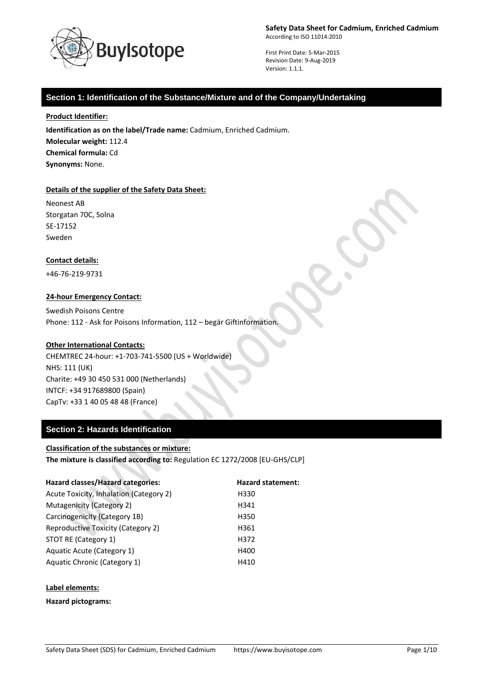

First Print Date: 5-Mar-2015 Revision Date: 9-Aug-2019 Version: 1.1.1.

# **Section 1: Identification of the Substance/Mixture and of the Company/Undertaking**

**Product Identifier:**

**Identification as on the label/Trade name:** Cadmium, Enriched Cadmium. **Molecular weight:** 112.4 **Chemical formula:** Cd **Synonyms:** None.

### **Details of the supplier of the Safety Data Sheet:**

Neonest AB Storgatan 70C, Solna SE-17152 Sweden

### **Contact details:**

+46-76-219-9731

### **24-hour Emergency Contact:**

Swedish Poisons Centre Phone: 112 - Ask for Poisons Information, 112 – begär Giftinformation.

### **Other International Contacts:**

CHEMTREC 24-hour: +1-703-741-5500 (US + Worldwide) NHS: 111 (UK) Charite: +49 30 450 531 000 (Netherlands) INTCF: +34 917689800 (Spain) CapTv: +33 1 40 05 48 48 (France)

### **Section 2: Hazards Identification**

## **Classification of the substances or mixture:**

**The mixture is classified according to:** Regulation EC 1272/2008 [EU-GHS/CLP]

| <b>Hazard classes/Hazard categories:</b> | <b>Hazard statement:</b> |
|------------------------------------------|--------------------------|
| Acute Toxicity, Inhalation (Category 2)  | H330                     |
| Mutagenicity (Category 2)                | H341                     |
| Carcinogenicity (Category 1B)            | H350                     |
| Reproductive Toxicity (Category 2)       | H361                     |
| STOT RE (Category 1)                     | H372                     |
| Aquatic Acute (Category 1)               | H400                     |
| Aquatic Chronic (Category 1)             | H410                     |
|                                          |                          |

### **Label elements:**

### **Hazard pictograms:**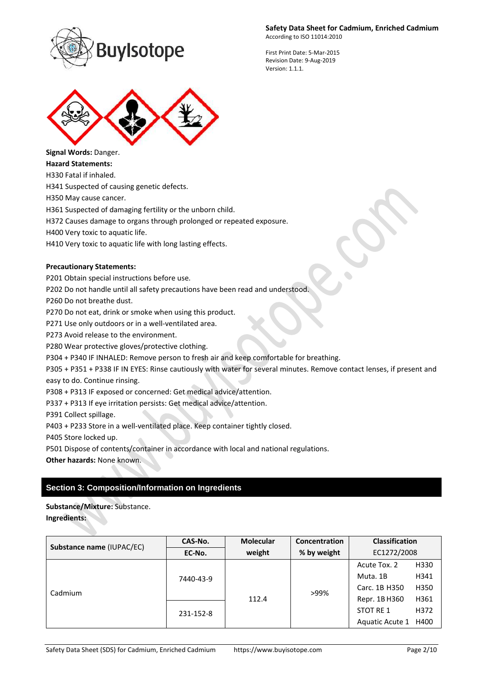

First Print Date: 5-Mar-2015 Revision Date: 9-Aug-2019 Version: 1.1.1.



**Signal Words:** Danger. **Hazard Statements:**

H330 Fatal if inhaled.

H341 Suspected of causing genetic defects.

H350 May cause cancer.

H361 Suspected of damaging fertility or the unborn child.

H372 Causes damage to organs through prolonged or repeated exposure.

H400 Very toxic to aquatic life.

H410 Very toxic to aquatic life with long lasting effects.

## **Precautionary Statements:**

P201 Obtain special instructions before use.

P202 Do not handle until all safety precautions have been read and understood.

P260 Do not breathe dust.

P270 Do not eat, drink or smoke when using this product.

P271 Use only outdoors or in a well-ventilated area.

P273 Avoid release to the environment.

P280 Wear protective gloves/protective clothing.

P304 + P340 IF INHALED: Remove person to fresh air and keep comfortable for breathing.

P305 + P351 + P338 IF IN EYES: Rinse cautiously with water for several minutes. Remove contact lenses, if present and

easy to do. Continue rinsing.

P308 + P313 IF exposed or concerned: Get medical advice/attention.

P337 + P313 If eye irritation persists: Get medical advice/attention.

P391 Collect spillage.

P403 + P233 Store in a well-ventilated place. Keep container tightly closed.

P405 Store locked up.

P501 Dispose of contents/container in accordance with local and national regulations.

**Other hazards:** None known.

# **Section 3: Composition/Information on Ingredients**

**Substance/Mixture:** Substance.

**Ingredients:**

| Substance name (IUPAC/EC) | CAS-No.   | <b>Molecular</b> | <b>Concentration</b> | <b>Classification</b> |      |
|---------------------------|-----------|------------------|----------------------|-----------------------|------|
|                           | EC-No.    | weight           | % by weight          | EC1272/2008           |      |
| Cadmium                   | 7440-43-9 | 112.4            | >99%                 | Acute Tox. 2          | H330 |
|                           |           |                  |                      | Muta. 1B              | H341 |
|                           |           |                  |                      | Carc. 1B H350         | H350 |
|                           |           |                  |                      | Repr. 1B H360         | H361 |
|                           | 231-152-8 |                  |                      | STOT RE 1             | H372 |
|                           |           |                  |                      | Aquatic Acute 1 H400  |      |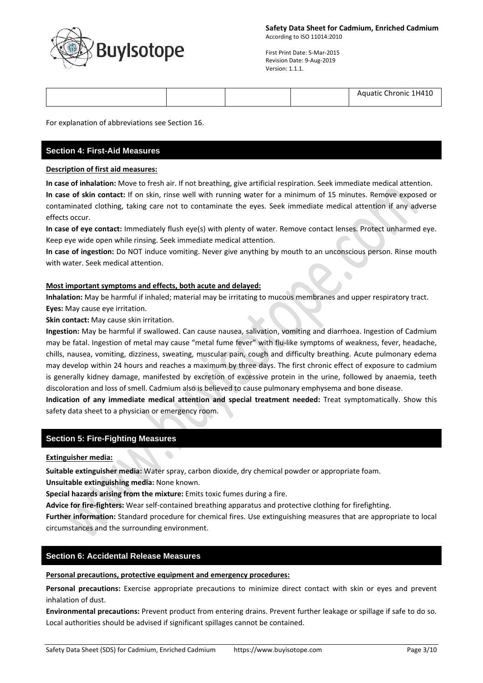

 $\bullet$ 

First Print Date: 5-Mar-2015 Revision Date: 9-Aug-2019 Version: 1.1.1.

|  |  |  |  | : Chronic 1H410<br>Aquatic |
|--|--|--|--|----------------------------|
|--|--|--|--|----------------------------|

For explanation of abbreviations see Section 16.

# **Section 4: First-Aid Measures**

### **Description of first aid measures:**

**In case of inhalation:** Move to fresh air. If not breathing, give artificial respiration. Seek immediate medical attention. **In case of skin contact:** If on skin, rinse well with running water for a minimum of 15 minutes. Remove exposed or contaminated clothing, taking care not to contaminate the eyes. Seek immediate medical attention if any adverse effects occur.

**In case of eye contact:** Immediately flush eye(s) with plenty of water. Remove contact lenses. Protect unharmed eye. Keep eye wide open while rinsing. Seek immediate medical attention.

**In case of ingestion:** Do NOT induce vomiting. Never give anything by mouth to an unconscious person. Rinse mouth with water. Seek medical attention.

## **Most important symptoms and effects, both acute and delayed:**

**Inhalation:** May be harmful if inhaled; material may be irritating to mucous membranes and upper respiratory tract. **Eyes:** May cause eye irritation.

**Skin contact:** May cause skin irritation.

**Ingestion:** May be harmful if swallowed. Can cause nausea, salivation, vomiting and diarrhoea. Ingestion of Cadmium may be fatal. Ingestion of metal may cause "metal fume fever" with flu-like symptoms of weakness, fever, headache, chills, nausea, vomiting, dizziness, sweating, muscular pain, cough and difficulty breathing. Acute pulmonary edema may develop within 24 hours and reaches a maximum by three days. The first chronic effect of exposure to cadmium is generally kidney damage, manifested by excretion of excessive protein in the urine, followed by anaemia, teeth discoloration and loss of smell. Cadmium also is believed to cause pulmonary emphysema and bone disease.

**Indication of any immediate medical attention and special treatment needed:** Treat symptomatically. Show this safety data sheet to a physician or emergency room.

## **Section 5: Fire-Fighting Measures**

### **Extinguisher media:**

**Suitable extinguisher media:** Water spray, carbon dioxide, dry chemical powder or appropriate foam.

**Unsuitable extinguishing media:** None known.

**Special hazards arising from the mixture:** Emits toxic fumes during a fire.

**Advice for fire-fighters:** Wear self-contained breathing apparatus and protective clothing for firefighting.

**Further information:** Standard procedure for chemical fires. Use extinguishing measures that are appropriate to local circumstances and the surrounding environment.

## **Section 6: Accidental Release Measures**

### **Personal precautions, protective equipment and emergency procedures:**

**Personal precautions:** Exercise appropriate precautions to minimize direct contact with skin or eyes and prevent inhalation of dust.

**Environmental precautions:** Prevent product from entering drains. Prevent further leakage or spillage if safe to do so. Local authorities should be advised if significant spillages cannot be contained.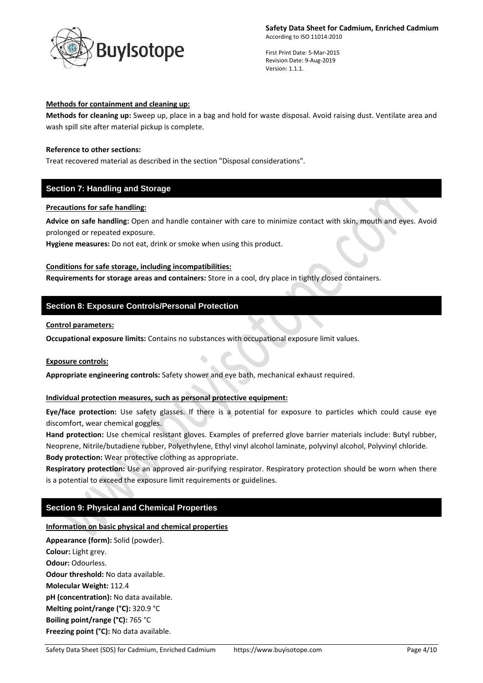

First Print Date: 5-Mar-2015 Revision Date: 9-Aug-2019 Version: 1.1.1.

### **Methods for containment and cleaning up:**

**Methods for cleaning up:** Sweep up, place in a bag and hold for waste disposal. Avoid raising dust. Ventilate area and wash spill site after material pickup is complete.

### **Reference to other sections:**

Treat recovered material as described in the section "Disposal considerations".

## **Section 7: Handling and Storage**

## **Precautions for safe handling:**

**Advice on safe handling:** Open and handle container with care to minimize contact with skin, mouth and eyes. Avoid prolonged or repeated exposure.

**Hygiene measures:** Do not eat, drink or smoke when using this product.

## **Conditions for safe storage, including incompatibilities:**

**Requirements for storage areas and containers:** Store in a cool, dry place in tightly closed containers.

# **Section 8: Exposure Controls/Personal Protection**

### **Control parameters:**

**Occupational exposure limits:** Contains no substances with occupational exposure limit values.

### **Exposure controls:**

**Appropriate engineering controls:** Safety shower and eye bath, mechanical exhaust required.

## **Individual protection measures, such as personal protective equipment:**

**Eye/face protection:** Use safety glasses. If there is a potential for exposure to particles which could cause eye discomfort, wear chemical goggles.

**Hand protection:** Use chemical resistant gloves. Examples of preferred glove barrier materials include: Butyl rubber, Neoprene, Nitrile/butadiene rubber, Polyethylene, Ethyl vinyl alcohol laminate, polyvinyl alcohol, Polyvinyl chloride. **Body protection:** Wear protective clothing as appropriate.

**Respiratory protection:** Use an approved air-purifying respirator. Respiratory protection should be worn when there is a potential to exceed the exposure limit requirements or guidelines.

# **Section 9: Physical and Chemical Properties**

## **Information on basic physical and chemical properties**

**Appearance (form):** Solid (powder). **Colour:** Light grey. **Odour:** Odourless. **Odour threshold:** No data available. **Molecular Weight:** 112.4 **pH (concentration):** No data available. **Melting point/range (°C):** 320.9 °C **Boiling point/range (°C):** 765 °C **Freezing point (°C):** No data available.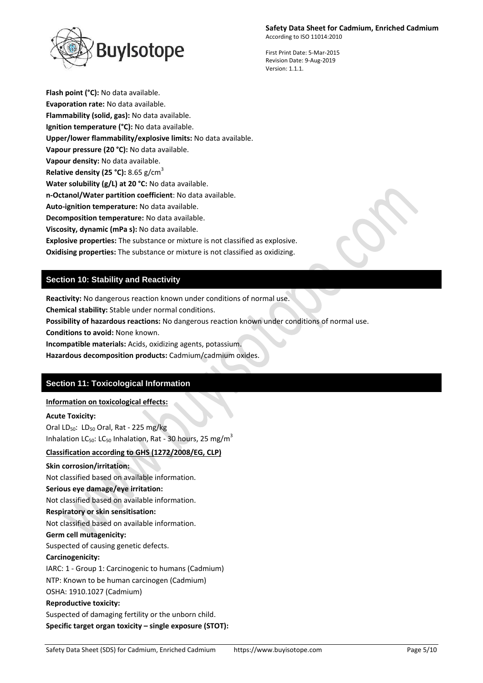uylsotope

First Print Date: 5-Mar-2015 Revision Date: 9-Aug-2019

Version: 1.1.1.

**Flash point (°C):** No data available. **Evaporation rate:** No data available. **Flammability (solid, gas):** No data available. **Ignition temperature (°C):** No data available. **Upper/lower flammability/explosive limits:** No data available. **Vapour pressure (20 °C):** No data available. **Vapour density:** No data available. **Relative density (25 °C):** 8.65 g/cm<sup>3</sup> **Water solubility (g/L) at 20 °C:** No data available. **n-Octanol/Water partition coefficient**: No data available. **Auto-ignition temperature:** No data available. **Decomposition temperature:** No data available. **Viscosity, dynamic (mPa s):** No data available. **Explosive properties:** The substance or mixture is not classified as explosive. **Oxidising properties:** The substance or mixture is not classified as oxidizing.

# **Section 10: Stability and Reactivity**

**Reactivity:** No dangerous reaction known under conditions of normal use.

**Chemical stability:** Stable under normal conditions.

**Possibility of hazardous reactions:** No dangerous reaction known under conditions of normal use.

**Conditions to avoid:** None known.

**Incompatible materials:** Acids, oxidizing agents, potassium.

**Hazardous decomposition products:** Cadmium/cadmium oxides.

# **Section 11: Toxicological Information**

## **Information on toxicological effects:**

### **Acute Toxicity:**

Oral LD $_{50}$ : LD $_{50}$  Oral, Rat - 225 mg/kg Inhalation LC<sub>50</sub>: LC<sub>50</sub> Inhalation, Rat - 30 hours, 25 mg/m<sup>3</sup>

## **Classification according to GHS (1272/2008/EG, CLP)**

### **Skin corrosion/irritation:**

Not classified based on available information. **Serious eye damage/eye irritation:** Not classified based on available information. **Respiratory or skin sensitisation:** Not classified based on available information. **Germ cell mutagenicity:** Suspected of causing genetic defects. **Carcinogenicity:** IARC: 1 - Group 1: Carcinogenic to humans (Cadmium) NTP: Known to be human carcinogen (Cadmium) OSHA: 1910.1027 (Cadmium) **Reproductive toxicity:** Suspected of damaging fertility or the unborn child. **Specific target organ toxicity – single exposure (STOT):**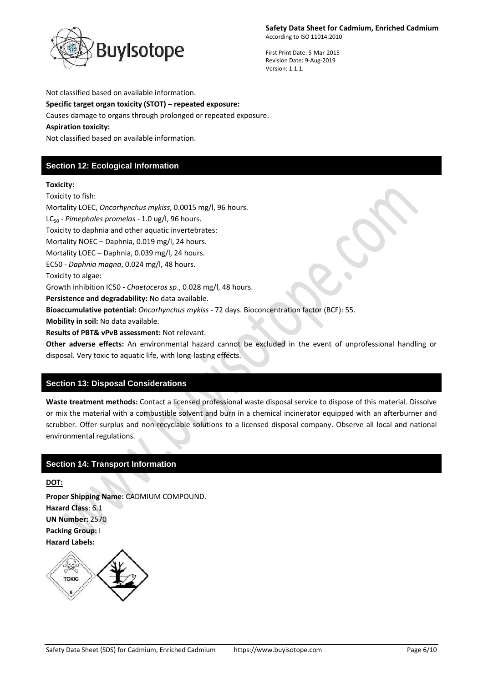

First Print Date: 5-Mar-2015 Revision Date: 9-Aug-2019 Version: 1.1.1.

Not classified based on available information. **Specific target organ toxicity (STOT) – repeated exposure:** Causes damage to organs through prolonged or repeated exposure. **Aspiration toxicity:** Not classified based on available information.

# **Section 12: Ecological Information**

# **Toxicity:**

Toxicity to fish:

Mortality LOEC, *Oncorhynchus mykiss*, 0.0015 mg/l, 96 hours. LC<sub>50</sub> - *Pimephales promelas* - 1.0 ug/l, 96 hours. Toxicity to daphnia and other aquatic invertebrates: Mortality NOEC – Daphnia, 0.019 mg/l, 24 hours. Mortality LOEC – Daphnia, 0.039 mg/l, 24 hours. EC50 - *Daphnia magna*, 0.024 mg/l, 48 hours. Toxicity to algae: Growth inhibition IC50 - *Chaetoceros sp*., 0.028 mg/l, 48 hours. **Persistence and degradability:** No data available. **Bioaccumulative potential:** *Oncorhynchus mykiss* - 72 days. Bioconcentration factor (BCF): 55. **Mobility in soil:** No data available. **Results of PBT& vPvB assessment:** Not relevant.

**Other adverse effects:** An environmental hazard cannot be excluded in the event of unprofessional handling or disposal. Very toxic to aquatic life, with long-lasting effects.

# **Section 13: Disposal Considerations**

**Waste treatment methods:** Contact a licensed professional waste disposal service to dispose of this material. Dissolve or mix the material with a combustible solvent and burn in a chemical incinerator equipped with an afterburner and scrubber. Offer surplus and non-recyclable solutions to a licensed disposal company. Observe all local and national environmental regulations.

# **Section 14: Transport Information**

**DOT:**

**Proper Shipping Name:** CADMIUM COMPOUND. **Hazard Class**: 6.1 **UN Number:** 2570 **Packing Group:** I **Hazard Labels:** 

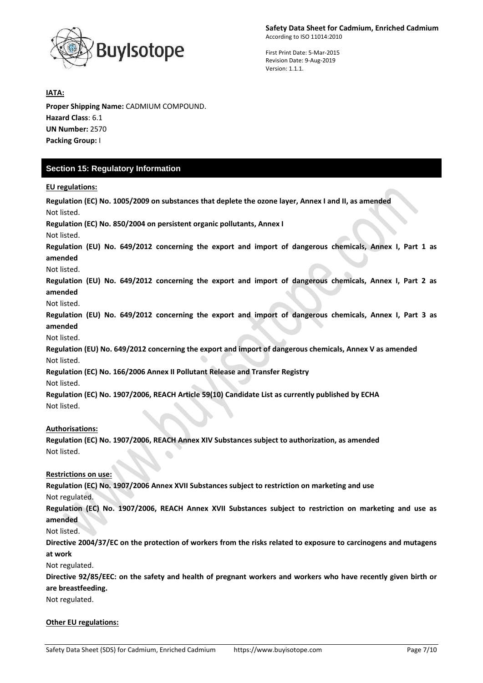

First Print Date: 5-Mar-2015 Revision Date: 9-Aug-2019 Version: 1.1.1.

## **IATA:**

**Proper Shipping Name:** CADMIUM COMPOUND. **Hazard Class**: 6.1 **UN Number:** 2570 **Packing Group:** I

# **Section 15: Regulatory Information**

## **EU regulations:**

**Regulation (EC) No. 1005/2009 on substances that deplete the ozone layer, Annex I and II, as amended** Not listed. **Regulation (EC) No. 850/2004 on persistent organic pollutants, Annex I** Not listed. **Regulation (EU) No. 649/2012 concerning the export and import of dangerous chemicals, Annex I, Part 1 as amended** Not listed. **Regulation (EU) No. 649/2012 concerning the export and import of dangerous chemicals, Annex I, Part 2 as amended** Not listed. **Regulation (EU) No. 649/2012 concerning the export and import of dangerous chemicals, Annex I, Part 3 as amended** Not listed. **Regulation (EU) No. 649/2012 concerning the export and import of dangerous chemicals, Annex V as amended** Not listed. **Regulation (EC) No. 166/2006 Annex II Pollutant Release and Transfer Registry** Not listed. **Regulation (EC) No. 1907/2006, REACH Article 59(10) Candidate List as currently published by ECHA** Not listed. **Authorisations: Regulation (EC) No. 1907/2006, REACH Annex XIV Substances subject to authorization, as amended** Not listed. **Restrictions on use: Regulation (EC) No. 1907/2006 Annex XVII Substances subject to restriction on marketing and use** Not regulated. **Regulation (EC) No. 1907/2006, REACH Annex XVII Substances subject to restriction on marketing and use as amended** Not listed. **Directive 2004/37/EC on the protection of workers from the risks related to exposure to carcinogens and mutagens at work**

Not regulated.

**Directive 92/85/EEC: on the safety and health of pregnant workers and workers who have recently given birth or are breastfeeding.**

Not regulated.

### **Other EU regulations:**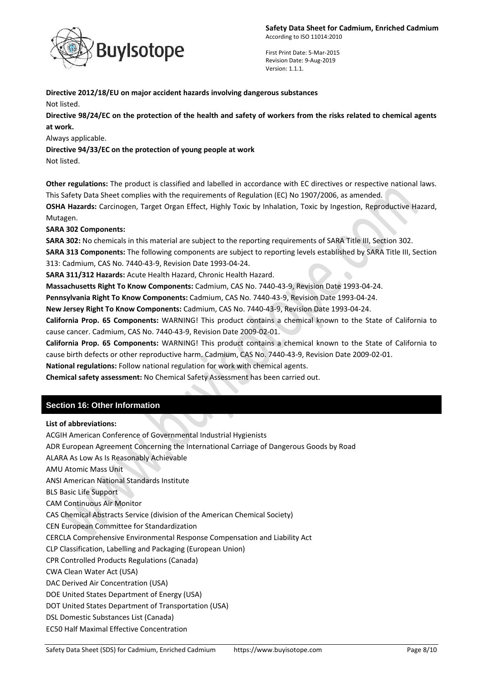

First Print Date: 5-Mar-2015 Revision Date: 9-Aug-2019 Version: 1.1.1.

## **Directive 2012/18/EU on major accident hazards involving dangerous substances** Not listed.

**Directive 98/24/EC on the protection of the health and safety of workers from the risks related to chemical agents at work.**

Always applicable.

**Directive 94/33/EC on the protection of young people at work**

Not listed.

**Other regulations:** The product is classified and labelled in accordance with EC directives or respective national laws. This Safety Data Sheet complies with the requirements of Regulation (EC) No 1907/2006, as amended.

**OSHA Hazards:** Carcinogen, Target Organ Effect, Highly Toxic by Inhalation, Toxic by Ingestion, Reproductive Hazard, Mutagen.

**SARA 302 Components:**

**SARA 302:** No chemicals in this material are subject to the reporting requirements of SARA Title III, Section 302.

**SARA 313 Components:** The following components are subject to reporting levels established by SARA Title III, Section 313: Cadmium, CAS No. 7440-43-9, Revision Date 1993-04-24.

**SARA 311/312 Hazards:** Acute Health Hazard, Chronic Health Hazard.

**Massachusetts Right To Know Components:** Cadmium, CAS No. 7440-43-9, Revision Date 1993-04-24.

**Pennsylvania Right To Know Components:** Cadmium, CAS No. 7440-43-9, Revision Date 1993-04-24.

**New Jersey Right To Know Components:** Cadmium, CAS No. 7440-43-9, Revision Date 1993-04-24.

**California Prop. 65 Components:** WARNING! This product contains a chemical known to the State of California to cause cancer. Cadmium, CAS No. 7440-43-9, Revision Date 2009-02-01.

**California Prop. 65 Components:** WARNING! This product contains a chemical known to the State of California to cause birth defects or other reproductive harm. Cadmium, CAS No. 7440-43-9, Revision Date 2009-02-01.

**National regulations:** Follow national regulation for work with chemical agents.

**Chemical safety assessment:** No Chemical Safety Assessment has been carried out.

# **Section 16: Other Information**

## **List of abbreviations:**

ACGIH American Conference of Governmental Industrial Hygienists ADR European Agreement Concerning the International Carriage of Dangerous Goods by Road ALARA As Low As Is Reasonably Achievable AMU Atomic Mass Unit ANSI American National Standards Institute BLS Basic Life Support CAM Continuous Air Monitor CAS Chemical Abstracts Service (division of the American Chemical Society) CEN European Committee for Standardization CERCLA Comprehensive Environmental Response Compensation and Liability Act CLP Classification, Labelling and Packaging (European Union) CPR Controlled Products Regulations (Canada) CWA Clean Water Act (USA) DAC Derived Air Concentration (USA) DOE United States Department of Energy (USA) DOT United States Department of Transportation (USA) DSL Domestic Substances List (Canada) EC50 Half Maximal Effective Concentration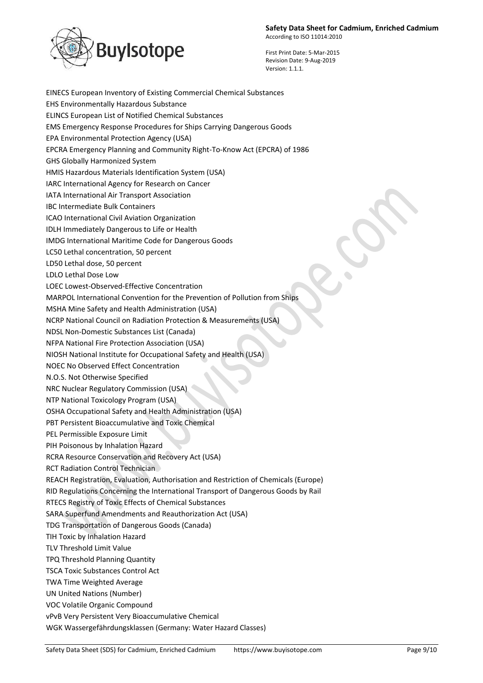

First Print Date: 5-Mar-2015 Revision Date: 9-Aug-2019 Version: 1.1.1.

EINECS European Inventory of Existing Commercial Chemical Substances EHS Environmentally Hazardous Substance ELINCS European List of Notified Chemical Substances EMS Emergency Response Procedures for Ships Carrying Dangerous Goods EPA Environmental Protection Agency (USA) EPCRA Emergency Planning and Community Right-To-Know Act (EPCRA) of 1986 GHS Globally Harmonized System HMIS Hazardous Materials Identification System (USA) IARC International Agency for Research on Cancer IATA International Air Transport Association IBC Intermediate Bulk Containers ICAO International Civil Aviation Organization IDLH Immediately Dangerous to Life or Health IMDG International Maritime Code for Dangerous Goods LC50 Lethal concentration, 50 percent LD50 Lethal dose, 50 percent LDLO Lethal Dose Low LOEC Lowest-Observed-Effective Concentration MARPOL International Convention for the Prevention of Pollution from Ships MSHA Mine Safety and Health Administration (USA) NCRP National Council on Radiation Protection & Measurements (USA) NDSL Non-Domestic Substances List (Canada) NFPA National Fire Protection Association (USA) NIOSH National Institute for Occupational Safety and Health (USA) NOEC No Observed Effect Concentration N.O.S. Not Otherwise Specified NRC Nuclear Regulatory Commission (USA) NTP National Toxicology Program (USA) OSHA Occupational Safety and Health Administration (USA) PBT Persistent Bioaccumulative and Toxic Chemical PEL Permissible Exposure Limit PIH Poisonous by Inhalation Hazard RCRA Resource Conservation and Recovery Act (USA) RCT Radiation Control Technician REACH Registration, Evaluation, Authorisation and Restriction of Chemicals (Europe) RID Regulations Concerning the International Transport of Dangerous Goods by Rail RTECS Registry of Toxic Effects of Chemical Substances SARA Superfund Amendments and Reauthorization Act (USA) TDG Transportation of Dangerous Goods (Canada) TIH Toxic by Inhalation Hazard TLV Threshold Limit Value TPQ Threshold Planning Quantity TSCA Toxic Substances Control Act TWA Time Weighted Average UN United Nations (Number) VOC Volatile Organic Compound vPvB Very Persistent Very Bioaccumulative Chemical WGK Wassergefährdungsklassen (Germany: Water Hazard Classes)